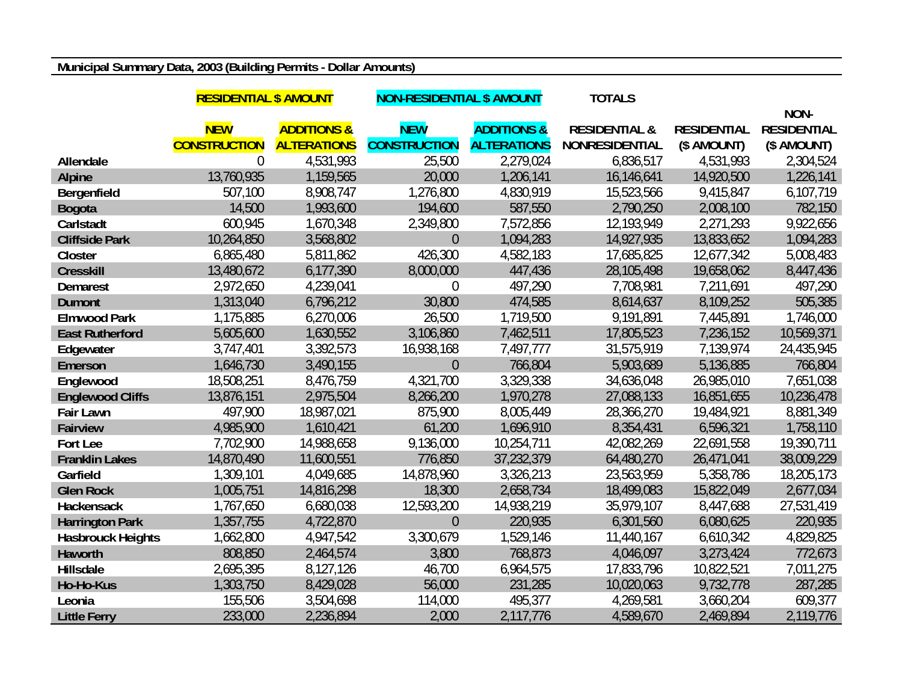## **Municipal Summary Data, 2003 (Building Permits - Dollar Amounts)**

|                          | <b>RESIDENTIAL \$ AMOUNT</b> |                        | <b>NON-RESIDENTIAL \$ AMOUNT</b> |                        | <b>TOTALS</b>            |                    |                    |
|--------------------------|------------------------------|------------------------|----------------------------------|------------------------|--------------------------|--------------------|--------------------|
|                          |                              |                        |                                  |                        |                          |                    | NON-               |
|                          | <b>NEW</b>                   | <b>ADDITIONS &amp;</b> | <b>NEW</b>                       | <b>ADDITIONS &amp;</b> | <b>RESIDENTIAL &amp;</b> | <b>RESIDENTIAL</b> | <b>RESIDENTIAL</b> |
|                          | <b>CONSTRUCTION</b>          | <b>ALTERATIONS</b>     | <b>CONSTRUCTION</b>              | <b>ALTERATIONS</b>     | <b>NONRESIDENTIAL</b>    | (\$ AMOUNT)        | (\$ AMOUNT)        |
| Allendale                | $\Omega$                     | 4,531,993              | 25,500                           | 2,279,024              | 6,836,517                | 4,531,993          | 2,304,524          |
| <b>Alpine</b>            | 13,760,935                   | 1,159,565              | 20,000                           | 1,206,141              | 16,146,641               | 14,920,500         | 1,226,141          |
| Bergenfield              | 507,100                      | 8,908,747              | 1,276,800                        | 4,830,919              | 15,523,566               | 9,415,847          | 6,107,719          |
| <b>Bogota</b>            | 14,500                       | 1,993,600              | 194,600                          | 587,550                | 2,790,250                | 2,008,100          | 782,150            |
| Carlstadt                | 600,945                      | 1,670,348              | 2,349,800                        | 7,572,856              | 12,193,949               | 2,271,293          | 9,922,656          |
| <b>Cliffside Park</b>    | 10,264,850                   | 3,568,802              | $\theta$                         | 1,094,283              | 14,927,935               | 13,833,652         | 1,094,283          |
| Closter                  | 6,865,480                    | 5,811,862              | 426,300                          | 4,582,183              | 17,685,825               | 12,677,342         | 5,008,483          |
| <b>Cresskill</b>         | 13,480,672                   | 6,177,390              | 8,000,000                        | 447,436                | 28,105,498               | 19,658,062         | 8,447,436          |
| <b>Demarest</b>          | 2,972,650                    | 4,239,041              | $\overline{0}$                   | 497,290                | 7,708,981                | 7,211,691          | 497,290            |
| <b>Dumont</b>            | 1,313,040                    | 6,796,212              | 30,800                           | 474,585                | 8,614,637                | 8,109,252          | 505,385            |
| <b>Elmwood Park</b>      | 1,175,885                    | 6,270,006              | 26,500                           | 1,719,500              | 9,191,891                | 7,445,891          | 1,746,000          |
| <b>East Rutherford</b>   | 5,605,600                    | 1,630,552              | 3,106,860                        | 7,462,511              | 17,805,523               | 7,236,152          | 10,569,371         |
| Edgewater                | 3,747,401                    | 3,392,573              | 16,938,168                       | 7,497,777              | 31,575,919               | 7,139,974          | 24,435,945         |
| Emerson                  | 1,646,730                    | 3,490,155              | $\overline{0}$                   | 766,804                | 5,903,689                | 5,136,885          | 766,804            |
| Englewood                | 18,508,251                   | 8,476,759              | 4,321,700                        | 3,329,338              | 34,636,048               | 26,985,010         | 7,651,038          |
| <b>Englewood Cliffs</b>  | 13,876,151                   | 2,975,504              | 8,266,200                        | 1,970,278              | 27,088,133               | 16,851,655         | 10,236,478         |
| Fair Lawn                | 497,900                      | 18,987,021             | 875,900                          | 8,005,449              | 28,366,270               | 19,484,921         | 8,881,349          |
| <b>Fairview</b>          | 4,985,900                    | 1,610,421              | 61,200                           | 1,696,910              | 8,354,431                | 6,596,321          | 1,758,110          |
| Fort Lee                 | 7,702,900                    | 14,988,658             | 9,136,000                        | 10,254,711             | 42,082,269               | 22,691,558         | 19,390,711         |
| <b>Franklin Lakes</b>    | 14,870,490                   | 11,600,551             | 776,850                          | 37,232,379             | 64,480,270               | 26,471,041         | 38,009,229         |
| Garfield                 | 1,309,101                    | 4,049,685              | 14,878,960                       | 3,326,213              | 23,563,959               | 5,358,786          | 18,205,173         |
| <b>Glen Rock</b>         | 1,005,751                    | 14,816,298             | 18,300                           | 2,658,734              | 18,499,083               | 15,822,049         | 2,677,034          |
| Hackensack               | 1,767,650                    | 6,680,038              | 12,593,200                       | 14,938,219             | 35,979,107               | 8,447,688          | 27,531,419         |
| <b>Harrington Park</b>   | 1,357,755                    | 4,722,870              | $\theta$                         | 220,935                | 6,301,560                | 6,080,625          | 220,935            |
| <b>Hasbrouck Heights</b> | 1,662,800                    | 4,947,542              | 3,300,679                        | 1,529,146              | 11,440,167               | 6,610,342          | 4,829,825          |
| Haworth                  | 808,850                      | 2,464,574              | 3,800                            | 768,873                | 4,046,097                | 3,273,424          | 772,673            |
| <b>Hillsdale</b>         | 2,695,395                    | 8,127,126              | 46,700                           | 6,964,575              | 17,833,796               | 10,822,521         | 7,011,275          |
| Ho-Ho-Kus                | 1,303,750                    | 8,429,028              | 56,000                           | 231,285                | 10,020,063               | 9,732,778          | 287,285            |
| Leonia                   | 155,506                      | 3,504,698              | 114,000                          | 495,377                | 4,269,581                | 3,660,204          | 609,377            |
| <b>Little Ferry</b>      | 233,000                      | 2,236,894              | 2,000                            | 2,117,776              | 4,589,670                | 2,469,894          | 2,119,776          |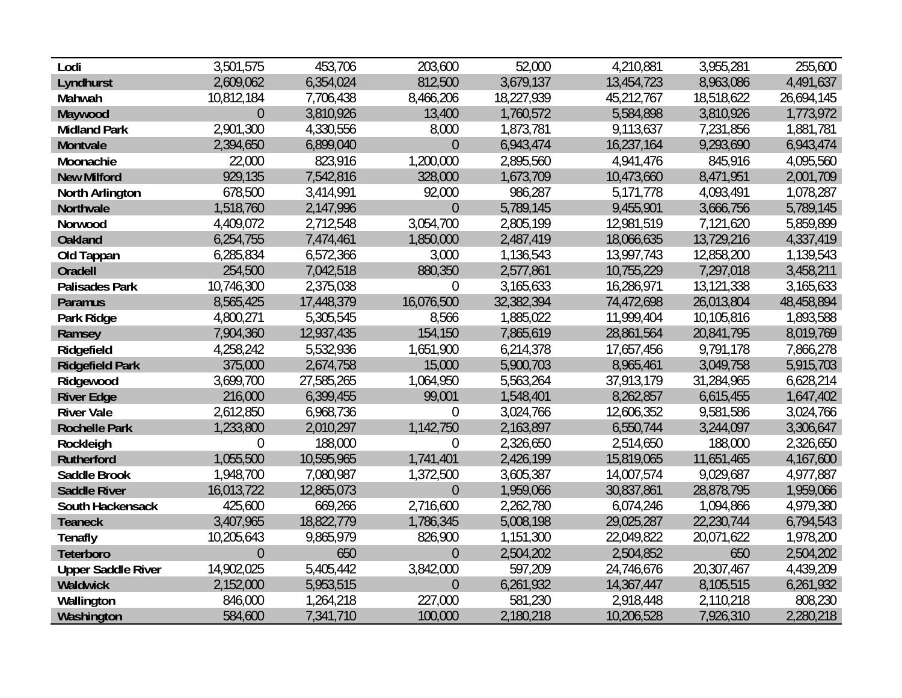| Lodi                      | 3,501,575      | 453,706    | 203,600          | 52,000     | 4,210,881  | 3,955,281  | 255,600    |
|---------------------------|----------------|------------|------------------|------------|------------|------------|------------|
| Lyndhurst                 | 2,609,062      | 6,354,024  | 812,500          | 3,679,137  | 13,454,723 | 8,963,086  | 4,491,637  |
| Mahwah                    | 10,812,184     | 7,706,438  | 8,466,206        | 18,227,939 | 45,212,767 | 18,518,622 | 26,694,145 |
| Maywood                   | $\overline{0}$ | 3,810,926  | 13,400           | 1,760,572  | 5,584,898  | 3,810,926  | 1,773,972  |
| <b>Midland Park</b>       | 2,901,300      | 4,330,556  | 8,000            | 1,873,781  | 9,113,637  | 7,231,856  | 1,881,781  |
| Montvale                  | 2,394,650      | 6,899,040  | $\overline{0}$   | 6,943,474  | 16,237,164 | 9,293,690  | 6,943,474  |
| Moonachie                 | 22,000         | 823,916    | 1,200,000        | 2,895,560  | 4,941,476  | 845,916    | 4,095,560  |
| <b>New Milford</b>        | 929,135        | 7,542,816  | 328,000          | 1,673,709  | 10,473,660 | 8,471,951  | 2,001,709  |
| North Arlington           | 678,500        | 3,414,991  | 92,000           | 986,287    | 5,171,778  | 4,093,491  | 1,078,287  |
| Northvale                 | 1,518,760      | 2,147,996  | $\overline{0}$   | 5,789,145  | 9,455,901  | 3,666,756  | 5,789,145  |
| Norwood                   | 4,409,072      | 2,712,548  | 3,054,700        | 2,805,199  | 12,981,519 | 7,121,620  | 5,859,899  |
| <b>Oakland</b>            | 6,254,755      | 7,474,461  | 1,850,000        | 2,487,419  | 18,066,635 | 13,729,216 | 4,337,419  |
| Old Tappan                | 6,285,834      | 6,572,366  | 3,000            | 1,136,543  | 13,997,743 | 12,858,200 | 1,139,543  |
| Oradell                   | 254,500        | 7,042,518  | 880,350          | 2,577,861  | 10,755,229 | 7,297,018  | 3,458,211  |
| <b>Palisades Park</b>     | 10,746,300     | 2,375,038  | $\mathbf 0$      | 3,165,633  | 16,286,971 | 13,121,338 | 3,165,633  |
| <b>Paramus</b>            | 8,565,425      | 17,448,379 | 16,076,500       | 32,382,394 | 74,472,698 | 26,013,804 | 48,458,894 |
| Park Ridge                | 4,800,271      | 5,305,545  | 8,566            | 1,885,022  | 11,999,404 | 10,105,816 | 1,893,588  |
| Ramsey                    | 7,904,360      | 12,937,435 | 154,150          | 7,865,619  | 28,861,564 | 20,841,795 | 8,019,769  |
| Ridgefield                | 4,258,242      | 5,532,936  | 1,651,900        | 6,214,378  | 17,657,456 | 9,791,178  | 7,866,278  |
| <b>Ridgefield Park</b>    | 375,000        | 2,674,758  | 15,000           | 5,900,703  | 8,965,461  | 3,049,758  | 5,915,703  |
| Ridgewood                 | 3,699,700      | 27,585,265 | 1,064,950        | 5,563,264  | 37,913,179 | 31,284,965 | 6,628,214  |
| <b>River Edge</b>         | 216,000        | 6,399,455  | 99,001           | 1,548,401  | 8,262,857  | 6,615,455  | 1,647,402  |
| <b>River Vale</b>         | 2,612,850      | 6,968,736  | $\mathbf 0$      | 3,024,766  | 12,606,352 | 9,581,586  | 3,024,766  |
| <b>Rochelle Park</b>      | 1,233,800      | 2,010,297  | 1,142,750        | 2,163,897  | 6,550,744  | 3,244,097  | 3,306,647  |
| Rockleigh                 | 0              | 188,000    | $\boldsymbol{0}$ | 2,326,650  | 2,514,650  | 188,000    | 2,326,650  |
| <b>Rutherford</b>         | 1,055,500      | 10,595,965 | 1,741,401        | 2,426,199  | 15,819,065 | 11,651,465 | 4,167,600  |
| <b>Saddle Brook</b>       | 1,948,700      | 7,080,987  | 1,372,500        | 3,605,387  | 14,007,574 | 9,029,687  | 4,977,887  |
| <b>Saddle River</b>       | 16,013,722     | 12,865,073 | $\overline{0}$   | 1,959,066  | 30,837,861 | 28,878,795 | 1,959,066  |
| South Hackensack          | 425,600        | 669,266    | 2,716,600        | 2,262,780  | 6,074,246  | 1,094,866  | 4,979,380  |
| <b>Teaneck</b>            | 3,407,965      | 18,822,779 | 1,786,345        | 5,008,198  | 29,025,287 | 22,230,744 | 6,794,543  |
| <b>Tenafly</b>            | 10,205,643     | 9,865,979  | 826,900          | 1,151,300  | 22,049,822 | 20,071,622 | 1,978,200  |
| Teterboro                 | $\overline{0}$ | 650        | $\overline{0}$   | 2,504,202  | 2,504,852  | 650        | 2,504,202  |
| <b>Upper Saddle River</b> | 14,902,025     | 5,405,442  | 3,842,000        | 597,209    | 24,746,676 | 20,307,467 | 4,439,209  |
| Waldwick                  | 2,152,000      | 5,953,515  | $\overline{0}$   | 6,261,932  | 14,367,447 | 8,105,515  | 6,261,932  |
| Wallington                | 846,000        | 1,264,218  | 227,000          | 581,230    | 2,918,448  | 2,110,218  | 808,230    |
| Washington                | 584,600        | 7,341,710  | 100,000          | 2,180,218  | 10,206,528 | 7,926,310  | 2,280,218  |